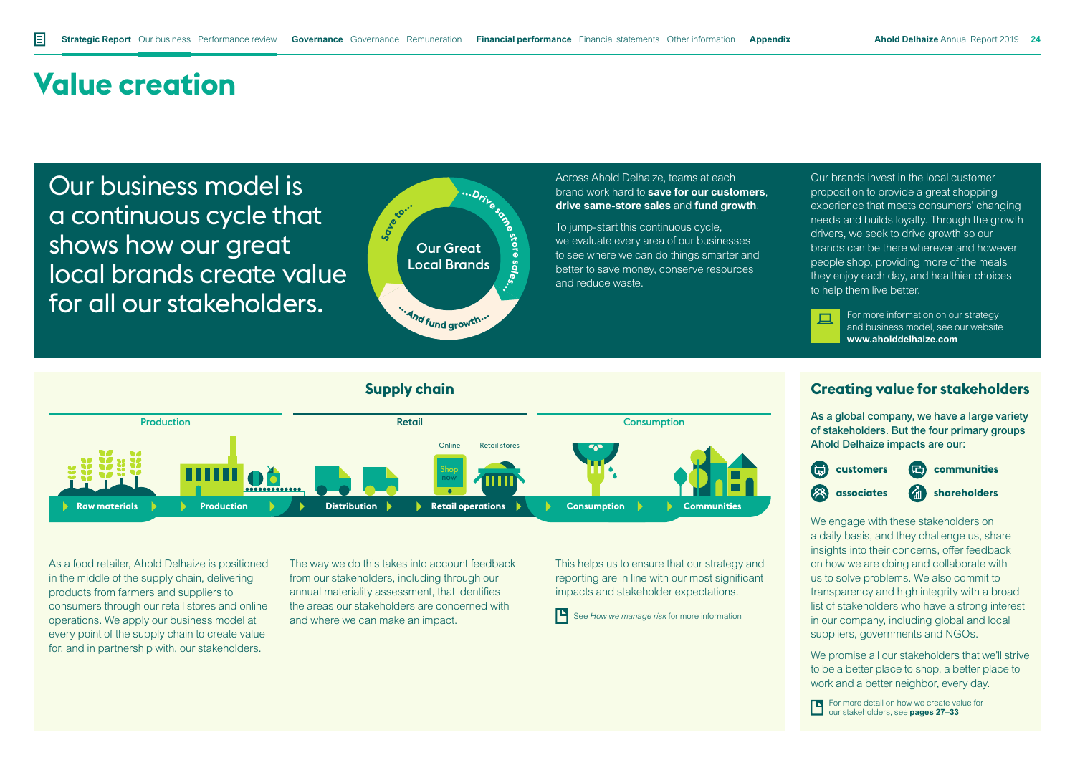## **Value creation**

Our business model is a continuous cycle that shows how our great local brands create value for all our stakeholders.



Across Ahold Delhaize, teams at each brand work hard to **save for our customers**, **drive same-store sales** and **fund growth**.

To jump-start this continuous cycle, we evaluate every area of our businesses to see where we can do things smarter and better to save money, conserve resources and reduce waste.

Our brands invest in the local customer proposition to provide a great shopping experience that meets consumers' changing needs and builds loyalty. Through the growth drivers, we seek to drive growth so our brands can be there wherever and however people shop, providing more of the meals they enjoy each day, and healthier choices to help them live better.

For more information on our strategy and business model, see our website **www.aholddelhaize.com**



As a food retailer, Ahold Delhaize is positioned in the middle of the supply chain, delivering products from farmers and suppliers to consumers through our retail stores and online operations. We apply our business model at every point of the supply chain to create value for, and in partnership with, our stakeholders.

The way we do this takes into account feedback from our stakeholders, including through our annual materiality assessment, that identifies the areas our stakeholders are concerned with and where we can make an impact.

This helps us to ensure that our strategy and reporting are in line with our most significant impacts and stakeholder expectations.



As a global company, we have a large variety of stakeholders. But the four primary groups Ahold Delhaize impacts are our:



We engage with these stakeholders on a daily basis, and they challenge us, share insights into their concerns, offer feedback on how we are doing and collaborate with us to solve problems. We also commit to transparency and high integrity with a broad list of stakeholders who have a strong interest in our company, including global and local suppliers, governments and NGOs.

We promise all our stakeholders that we'll strive to be a better place to shop, a better place to work and a better neighbor, every day.

For more detail on how we create value for our stakeholders, see **pages 27–33**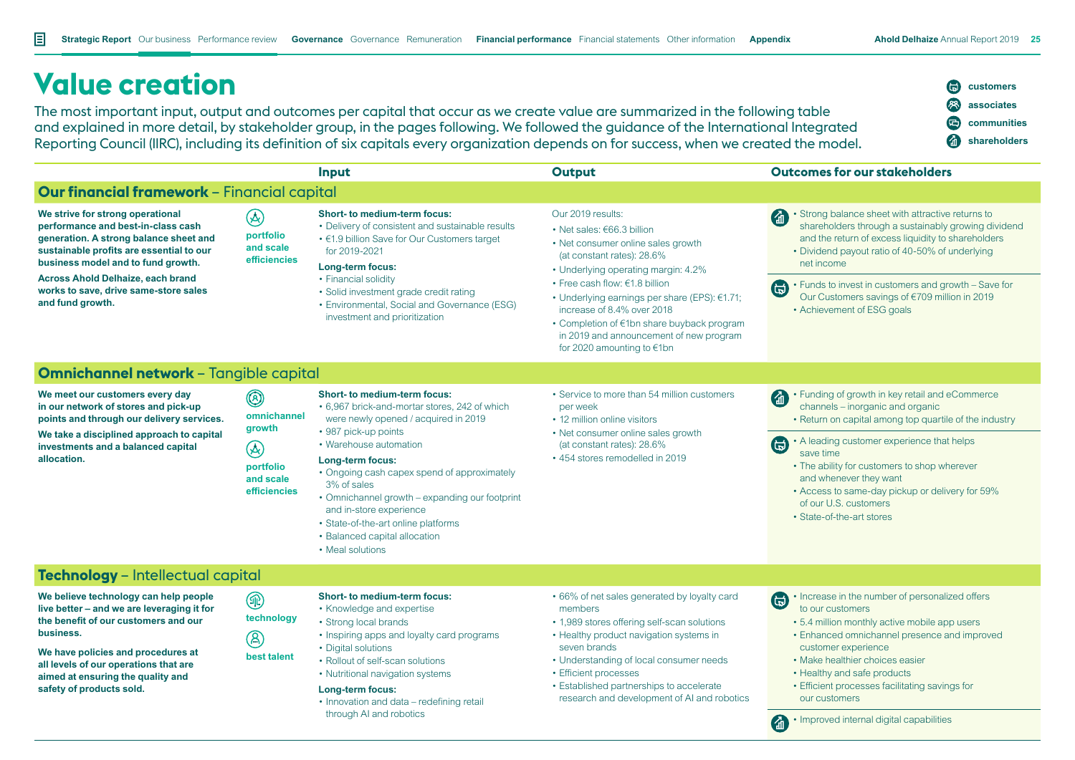## **Value creation**

The most important input, output and outcomes per capital that occur as we create value are summarized in the following table and explained in more detail, by stakeholder group, in the pages following. We followed the guidance of the International Integrated Reporting Council (IIRC), including its definition of six capitals every organization depends on for success, when we created the model.



|                                                                                                                                                                                                                                                                                                             |                                                                                                  | Input                                                                                                                                                                                                                                                                                                                                                                                                                                     | <b>Output</b>                                                                                                                                                                                                                                                                                                                                                           | <b>Outcomes for our stakeholders</b>                                                                                                                                                                                                                                                                                                                                                                           |
|-------------------------------------------------------------------------------------------------------------------------------------------------------------------------------------------------------------------------------------------------------------------------------------------------------------|--------------------------------------------------------------------------------------------------|-------------------------------------------------------------------------------------------------------------------------------------------------------------------------------------------------------------------------------------------------------------------------------------------------------------------------------------------------------------------------------------------------------------------------------------------|-------------------------------------------------------------------------------------------------------------------------------------------------------------------------------------------------------------------------------------------------------------------------------------------------------------------------------------------------------------------------|----------------------------------------------------------------------------------------------------------------------------------------------------------------------------------------------------------------------------------------------------------------------------------------------------------------------------------------------------------------------------------------------------------------|
| Our financial framework - Financial capital                                                                                                                                                                                                                                                                 |                                                                                                  |                                                                                                                                                                                                                                                                                                                                                                                                                                           |                                                                                                                                                                                                                                                                                                                                                                         |                                                                                                                                                                                                                                                                                                                                                                                                                |
| We strive for strong operational<br>performance and best-in-class cash<br>generation. A strong balance sheet and<br>sustainable profits are essential to our<br>business model and to fund growth.<br><b>Across Ahold Delhaize, each brand</b><br>works to save, drive same-store sales<br>and fund growth. | $\circledast$<br>portfolio<br>and scale<br>efficiencies                                          | <b>Short- to medium-term focus:</b><br>• Delivery of consistent and sustainable results<br>• €1.9 billion Save for Our Customers target<br>for 2019-2021<br>Long-term focus:<br>• Financial solidity<br>• Solid investment grade credit rating<br>• Environmental, Social and Governance (ESG)<br>investment and prioritization                                                                                                           | Our 2019 results:<br>• Net sales: €66.3 billion<br>• Net consumer online sales growth<br>(at constant rates): 28.6%<br>• Underlying operating margin: 4.2%<br>• Free cash flow: €1.8 billion<br>• Underlying earnings per share (EPS): $€1.71$ ;<br>increase of 8.4% over 2018<br>• Completion of €1bn share buyback program<br>in 2019 and announcement of new program | • Strong balance sheet with attractive returns to<br>shareholders through a sustainably growing dividend<br>and the return of excess liquidity to shareholders<br>• Dividend payout ratio of 40-50% of underlying<br>net income<br>• Funds to invest in customers and growth - Save for<br>(臣<br>Our Customers savings of €709 million in 2019<br>• Achievement of ESG goals                                   |
|                                                                                                                                                                                                                                                                                                             |                                                                                                  |                                                                                                                                                                                                                                                                                                                                                                                                                                           | for 2020 amounting to $\epsilon$ 1bn                                                                                                                                                                                                                                                                                                                                    |                                                                                                                                                                                                                                                                                                                                                                                                                |
| <b>Omnichannel network - Tangible capital</b>                                                                                                                                                                                                                                                               |                                                                                                  |                                                                                                                                                                                                                                                                                                                                                                                                                                           |                                                                                                                                                                                                                                                                                                                                                                         |                                                                                                                                                                                                                                                                                                                                                                                                                |
| We meet our customers every day<br>in our network of stores and pick-up<br>points and through our delivery services.<br>We take a disciplined approach to capital<br>investments and a balanced capital<br>allocation.                                                                                      | $\circledcirc$<br>omnichannel<br>growth<br>$\circledR$<br>portfolio<br>and scale<br>efficiencies | <b>Short- to medium-term focus:</b><br>• 6,967 brick-and-mortar stores, 242 of which<br>were newly opened / acquired in 2019<br>• 987 pick-up points<br>• Warehouse automation<br>Long-term focus:<br>• Ongoing cash capex spend of approximately<br>3% of sales<br>• Omnichannel growth – expanding our footprint<br>and in-store experience<br>• State-of-the-art online platforms<br>• Balanced capital allocation<br>• Meal solutions | • Service to more than 54 million customers<br>per week<br>• 12 million online visitors<br>• Net consumer online sales growth<br>(at constant rates): 28.6%<br>• 454 stores remodelled in 2019                                                                                                                                                                          | • Funding of growth in key retail and eCommerce<br>(る)<br>channels - inorganic and organic<br>• Return on capital among top quartile of the industry<br>• A leading customer experience that helps<br><u>៍</u><br>save time<br>• The ability for customers to shop wherever<br>and whenever they want<br>• Access to same-day pickup or delivery for 59%<br>of our U.S. customers<br>• State-of-the-art stores |
| Technology - Intellectual capital                                                                                                                                                                                                                                                                           |                                                                                                  |                                                                                                                                                                                                                                                                                                                                                                                                                                           |                                                                                                                                                                                                                                                                                                                                                                         |                                                                                                                                                                                                                                                                                                                                                                                                                |
| We believe technology can help people<br>live better – and we are leveraging it for<br>the benefit of our customers and our<br>business.<br>We have policies and procedures at<br>all levels of our operations that are<br>aimed at ensuring the quality and<br>safety of products sold.                    | $^{\circledR}$<br>technology<br>$\circledR$<br>best talent                                       | <b>Short- to medium-term focus:</b><br>• Knowledge and expertise<br>• Strong local brands<br>• Inspiring apps and loyalty card programs<br>• Digital solutions<br>• Rollout of self-scan solutions<br>• Nutritional navigation systems<br>Long-term focus:<br>• Innovation and data – redefining retail<br>through AI and robotics                                                                                                        | • 66% of net sales generated by loyalty card<br>members<br>• 1,989 stores offering self-scan solutions<br>• Healthy product navigation systems in<br>seven brands<br>• Understanding of local consumer needs<br>• Efficient processes<br>• Established partnerships to accelerate<br>research and development of AI and robotics                                        | • Increase in the number of personalized offers<br>6<br>to our customers<br>• 5.4 million monthly active mobile app users<br>• Enhanced omnichannel presence and improved<br>customer experience<br>• Make healthier choices easier<br>• Healthy and safe products<br>• Efficient processes facilitating savings for<br>our customers<br>$\bullet$ • Improved internal digital capabilities                    |

6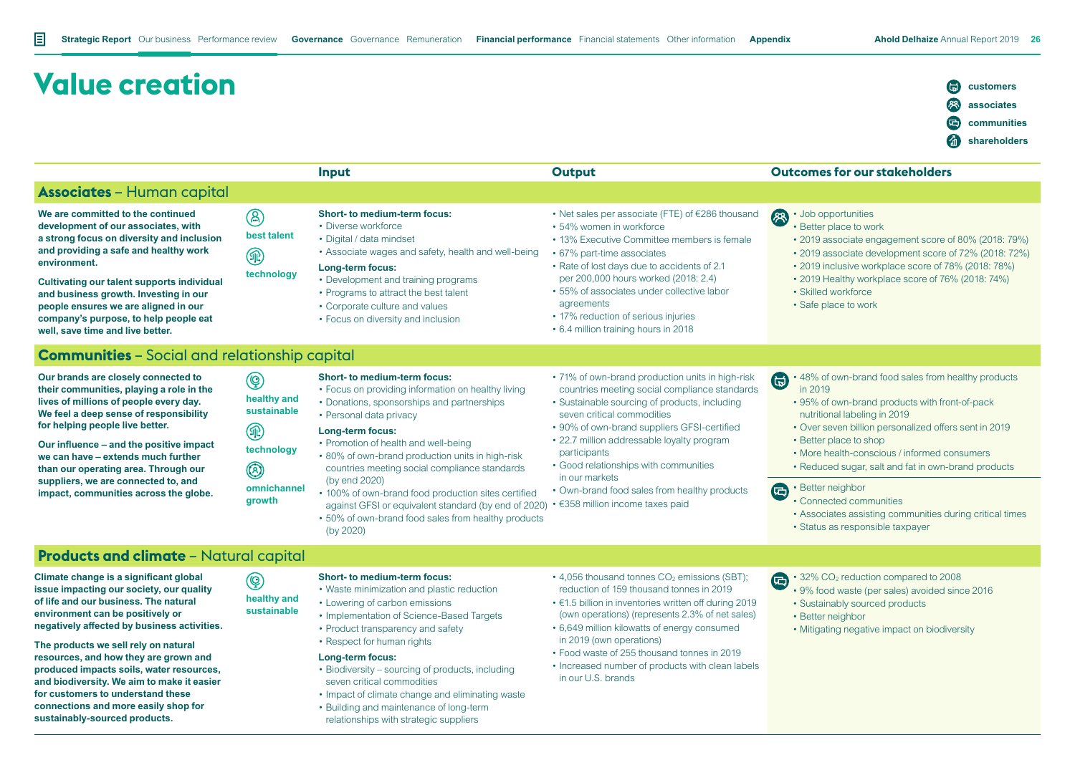**customers associates communities shareholders**

# **Value creation Input Output Outcomes for our stakeholders Associates** – Human capital

**We are committed to the continued development of our associates, with a strong focus on diversity and inclusion and providing a safe and healthy work environment.** 

**Cultivating our talent supports individual and business growth. Investing in our people ensures we are aligned in our company's purpose, to help people eat well, save time and live better.**

| $\circledR$ | <b>Short-to medium-term focus:</b> |  |  |  |
|-------------|------------------------------------|--|--|--|
|             | • Diverse workforce                |  |  |  |
| best talent | • Digital / data mindset           |  |  |  |

- Digital / data mindset • Associate wages and safety, health and well-being
- **Long-term focus:**
	- Development and training programs
	- Programs to attract the best talent
	- Corporate culture and values
	- Focus on diversity and inclusion
- Net sales per associate (FTE) of €286 thousand
- 54% women in workforce
- 13% Executive Committee members is female
- 67% part-time associates
- Rate of lost days due to accidents of 2.1 per 200,000 hours worked (2018: 2.4)
- 55% of associates under collective labor agreements
- 17% reduction of serious injuries
- 6.4 million training hours in 2018

#### • Job opportunities

- Better place to work
- 2019 associate engagement score of 80% (2018: 79%)
- 2019 associate development score of 72% (2018: 72%)
- 2019 inclusive workplace score of 78% (2018: 78%)
- 2019 Healthy workplace score of 76% (2018: 74%)
- Skilled workforce
- Safe place to work

#### **Communities** – Social and relationship capital

**Our brands are closely connected to their communities, playing a role in the lives of millions of people every day. We feel a deep sense of responsibility for helping people live better.**

**Our influence – and the positive impact we can have – extends much further than our operating area. Through our suppliers, we are connected to, and impact, communities across the globe.**

#### $\circledcirc$ **healthy and sustainable**

**technology**

 $^{\circledR}$ 

**l technology**

 $^{\circledR}$ 

**omnichannel growth**

**healthy and sustainable**

 $\circledcirc$ 

- **Short- to medium-term focus:** • Focus on providing information on healthy living
- Donations, sponsorships and partnerships
- Personal data privacy

#### **Long-term focus:**

- Promotion of health and well-being
- 80% of own-brand production units in high-risk countries meeting social compliance standards (by end 2020)
- 100% of own-brand food production sites certified against GFSI or equivalent standard (by end of 2020)
- 50% of own-brand food sales from healthy products (by 2020)
- 71% of own-brand production units in high-risk countries meeting social compliance standards
- Sustainable sourcing of products, including seven critical commodities
- 90% of own-brand suppliers GFSI-certified
- 22.7 million addressable loyalty program participants
- Good relationships with communities in our markets
- Own-brand food sales from healthy products
- €358 million income taxes paid
- 48% of own-brand food sales from healthy products in 2019
- 95% of own-brand products with front-of-pack nutritional labeling in 2019
- Over seven billion personalized offers sent in 2019
- Better place to shop
- More health-conscious / informed consumers
- Reduced sugar, salt and fat in own-brand products

#### A • Better neighbor

- Connected communities
- Associates assisting communities during critical times
- Status as responsible taxpayer

#### **Products and climate** – Natural capital

**Climate change is a significant global issue impacting our society, our quality of life and our business. The natural environment can be positively or negatively affected by business activities.**

**The products we sell rely on natural resources, and how they are grown and produced impacts soils, water resources, and biodiversity. We aim to make it easier for customers to understand these connections and more easily shop for sustainably-sourced products.**

#### **Short- to medium-term focus:**

- Waste minimization and plastic reduction
- Lowering of carbon emissions
- Implementation of Science-Based Targets
- Product transparency and safety
- Respect for human rights

#### **Long-term focus:**

- Biodiversity sourcing of products, including seven critical commodities
- Impact of climate change and eliminating waste
- Building and maintenance of long-term relationships with strategic suppliers
- $\cdot$  4,056 thousand tonnes CO<sub>2</sub> emissions (SBT): reduction of 159 thousand tonnes in 2019
- €1.5 billion in inventories written off during 2019 (own operations) (represents 2.3% of net sales)
- 6,649 million kilowatts of energy consumed in 2019 (own operations)
- Food waste of 255 thousand tonnes in 2019
- Increased number of products with clean labels in our U.S. brands

#### $\cdot$  32% CO<sub>2</sub> reduction compared to 2008

- 9% food waste (per sales) avoided since 2016 • Sustainably sourced products
- Better neighbor
	- Mitigating negative impact on biodiversity
-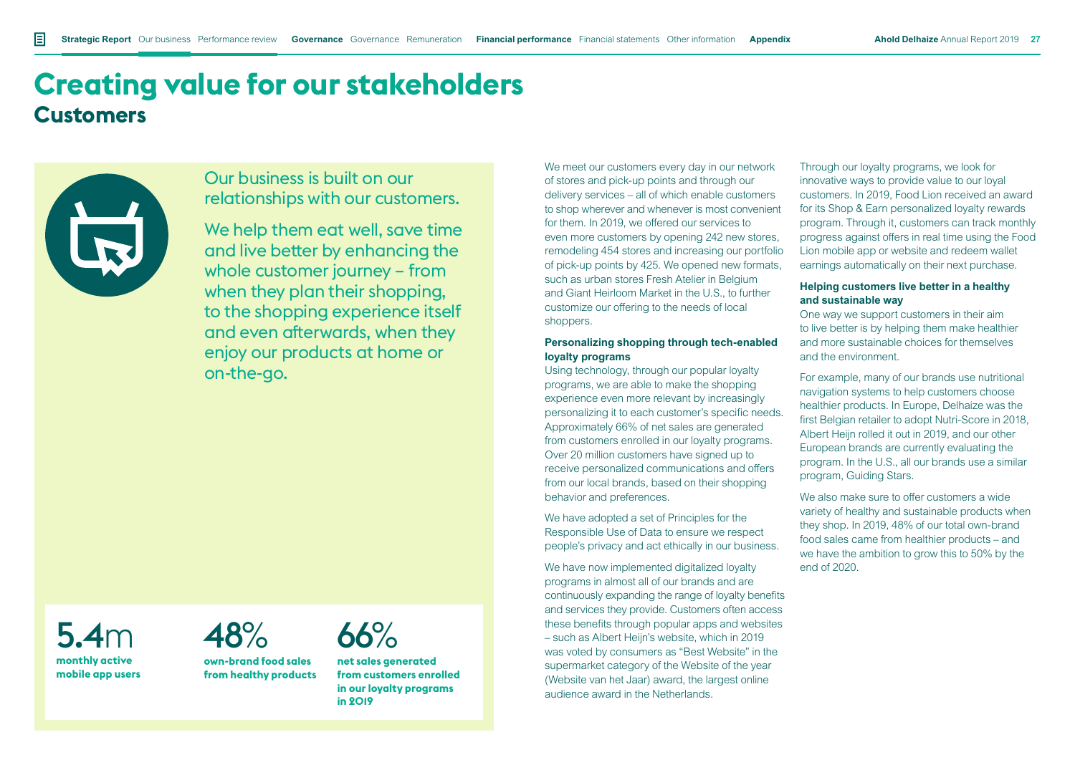## **Creating value for our stakeholders Customers**



### Our business is built on our relationships with our customers.

We help them eat well, save time and live better by enhancing the whole customer journey – from when they plan their shopping, to the shopping experience itself and even afterwards, when they enjoy our products at home or on-the-go.

5.4m **monthly active mobile app users**



**own-brand food sales from healthy products** 66%

**net sales generated from customers enrolled in our loyalty programs in 2019**

We meet our customers every day in our network of stores and pick-up points and through our delivery services – all of which enable customers to shop wherever and whenever is most convenient for them. In 2019, we offered our services to even more customers by opening 242 new stores, remodeling 454 stores and increasing our portfolio of pick-up points by 425. We opened new formats, such as urban stores Fresh Atelier in Belgium and Giant Heirloom Market in the U.S., to further customize our offering to the needs of local shoppers.

#### **Personalizing shopping through tech-enabled loyalty programs**

Using technology, through our popular loyalty programs, we are able to make the shopping experience even more relevant by increasingly personalizing it to each customer's specific needs. Approximately 66% of net sales are generated from customers enrolled in our loyalty programs. Over 20 million customers have signed up to receive personalized communications and offers from our local brands, based on their shopping behavior and preferences.

We have adopted a set of Principles for the Responsible Use of Data to ensure we respect people's privacy and act ethically in our business.

We have now implemented digitalized loyalty programs in almost all of our brands and are continuously expanding the range of loyalty benefits and services they provide. Customers often access these benefits through popular apps and websites – such as Albert Heijn's website, which in 2019 was voted by consumers as "Best Website" in the supermarket category of the Website of the year (Website van het Jaar) award, the largest online audience award in the Netherlands.

Through our loyalty programs, we look for innovative ways to provide value to our loyal customers. In 2019, Food Lion received an award for its Shop & Earn personalized loyalty rewards program. Through it, customers can track monthly progress against offers in real time using the Food Lion mobile app or website and redeem wallet earnings automatically on their next purchase.

#### **Helping customers live better in a healthy and sustainable way**

One way we support customers in their aim to live better is by helping them make healthier and more sustainable choices for themselves and the environment.

For example, many of our brands use nutritional navigation systems to help customers choose healthier products. In Europe, Delhaize was the first Belgian retailer to adopt Nutri-Score in 2018. Albert Heijn rolled it out in 2019, and our other European brands are currently evaluating the program. In the U.S., all our brands use a similar program, Guiding Stars.

We also make sure to offer customers a wide variety of healthy and sustainable products when they shop. In 2019, 48% of our total own-brand food sales came from healthier products – and we have the ambition to grow this to 50% by the end of 2020.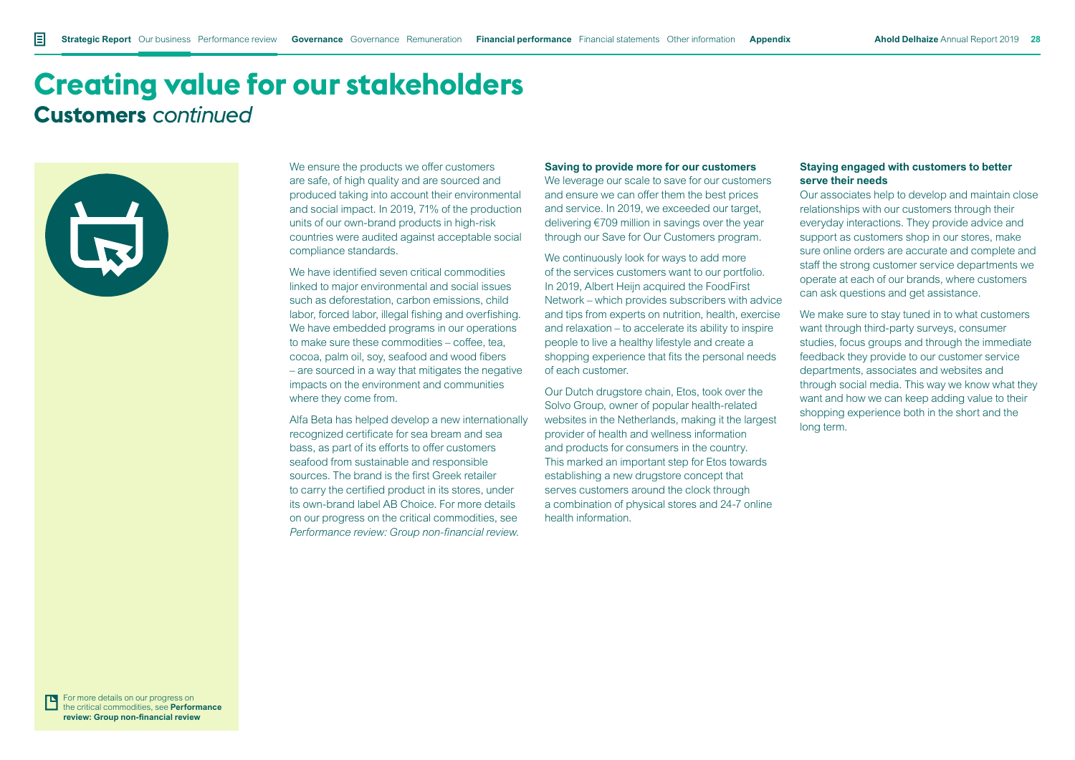### **Creating value for our stakeholders Customers** *continued*



We ensure the products we offer customers are safe, of high quality and are sourced and produced taking into account their environmental and social impact. In 2019, 71% of the production units of our own-brand products in high-risk countries were audited against acceptable social compliance standards.

We have identified seven critical commodities linked to major environmental and social issues such as deforestation, carbon emissions, child labor, forced labor, illegal fishing and overfishing. We have embedded programs in our operations to make sure these commodities – coffee, tea, cocoa, palm oil, soy, seafood and wood fibers – are sourced in a way that mitigates the negative impacts on the environment and communities where they come from.

Alfa Beta has helped develop a new internationally recognized certificate for sea bream and sea bass, as part of its efforts to offer customers seafood from sustainable and responsible sources. The brand is the first Greek retailer to carry the certified product in its stores, under its own-brand label AB Choice. For more details on our progress on the critical commodities, see *Performance review: Group non-financial review*.

#### **Saving to provide more for our customers**

We leverage our scale to save for our customers and ensure we can offer them the best prices and service. In 2019, we exceeded our target. delivering €709 million in savings over the year through our Save for Our Customers program.

We continuously look for ways to add more of the services customers want to our portfolio. In 2019, Albert Heijn acquired the FoodFirst Network – which provides subscribers with advice and tips from experts on nutrition, health, exercise and relaxation – to accelerate its ability to inspire people to live a healthy lifestyle and create a shopping experience that fits the personal needs of each customer.

Our Dutch drugstore chain, Etos, took over the Solvo Group, owner of popular health-related websites in the Netherlands, making it the largest provider of health and wellness information and products for consumers in the country. This marked an important step for Etos towards establishing a new drugstore concept that serves customers around the clock through a combination of physical stores and 24-7 online health information.

#### **Staying engaged with customers to better serve their needs**

Our associates help to develop and maintain close relationships with our customers through their everyday interactions. They provide advice and support as customers shop in our stores, make sure online orders are accurate and complete and staff the strong customer service departments we operate at each of our brands, where customers can ask questions and get assistance.

We make sure to stay tuned in to what customers want through third-party surveys, consumer studies, focus groups and through the immediate feedback they provide to our customer service departments, associates and websites and through social media. This way we know what they want and how we can keep adding value to their shopping experience both in the short and the long term.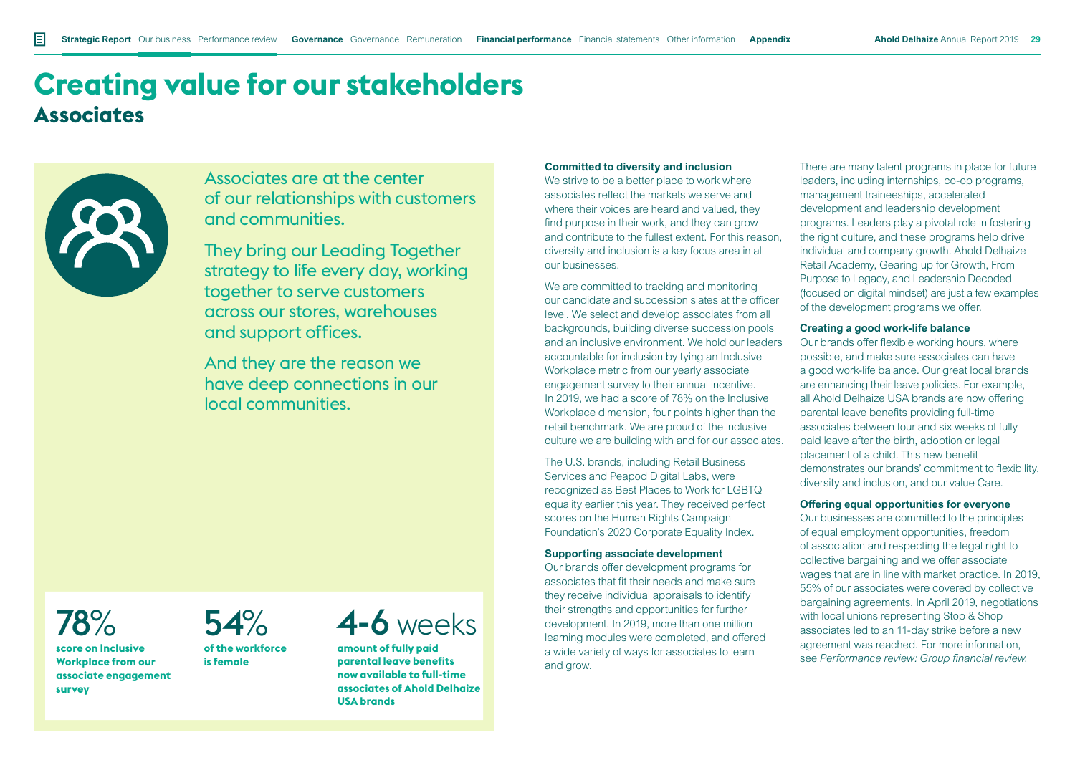## **Creating value for our stakeholders Associates**



Associates are at the center of our relationships with customers and communities.

They bring our Leading Together strategy to life every day, working together to serve customers across our stores, warehouses and support offices.

And they are the reason we have deep connections in our local communities.

## 78%

**score on Inclusive Workplace from our associate engagement survey**



**of the workforce is female**

## 4-6 weeks

**amount of fully paid parental leave benefits now available to full-time associates of Ahold Delhaize USA brands**

#### **Committed to diversity and inclusion**

We strive to be a better place to work where associates reflect the markets we serve and where their voices are heard and valued, they find purpose in their work, and they can grow and contribute to the fullest extent. For this reason, diversity and inclusion is a key focus area in all our businesses.

We are committed to tracking and monitoring our candidate and succession slates at the officer level. We select and develop associates from all backgrounds, building diverse succession pools and an inclusive environment. We hold our leaders accountable for inclusion by tying an Inclusive Workplace metric from our yearly associate engagement survey to their annual incentive. In 2019, we had a score of 78% on the Inclusive Workplace dimension, four points higher than the retail benchmark. We are proud of the inclusive culture we are building with and for our associates.

The U.S. brands, including Retail Business Services and Peapod Digital Labs, were recognized as Best Places to Work for LGBTQ equality earlier this year. They received perfect scores on the Human Rights Campaign Foundation's 2020 Corporate Equality Index.

#### **Supporting associate development**

Our brands offer development programs for associates that fit their needs and make sure they receive individual appraisals to identify their strengths and opportunities for further development. In 2019, more than one million learning modules were completed, and offered a wide variety of ways for associates to learn and grow.

There are many talent programs in place for future leaders, including internships, co-op programs, management traineeships, accelerated development and leadership development programs. Leaders play a pivotal role in fostering the right culture, and these programs help drive individual and company growth. Ahold Delhaize Retail Academy, Gearing up for Growth, From Purpose to Legacy, and Leadership Decoded (focused on digital mindset) are just a few examples of the development programs we offer.

#### **Creating a good work-life balance**

Our brands offer flexible working hours, where possible, and make sure associates can have a good work-life balance. Our great local brands are enhancing their leave policies. For example, all Ahold Delhaize USA brands are now offering parental leave benefits providing full-time associates between four and six weeks of fully paid leave after the birth, adoption or legal placement of a child. This new benefit demonstrates our brands' commitment to flexibility, diversity and inclusion, and our value Care.

#### **Offering equal opportunities for everyone**

Our businesses are committed to the principles of equal employment opportunities, freedom of association and respecting the legal right to collective bargaining and we offer associate wages that are in line with market practice. In 2019, 55% of our associates were covered by collective bargaining agreements. In April 2019, negotiations with local unions representing Stop & Shop associates led to an 11-day strike before a new agreement was reached. For more information, see *Performance review: Group financial review*.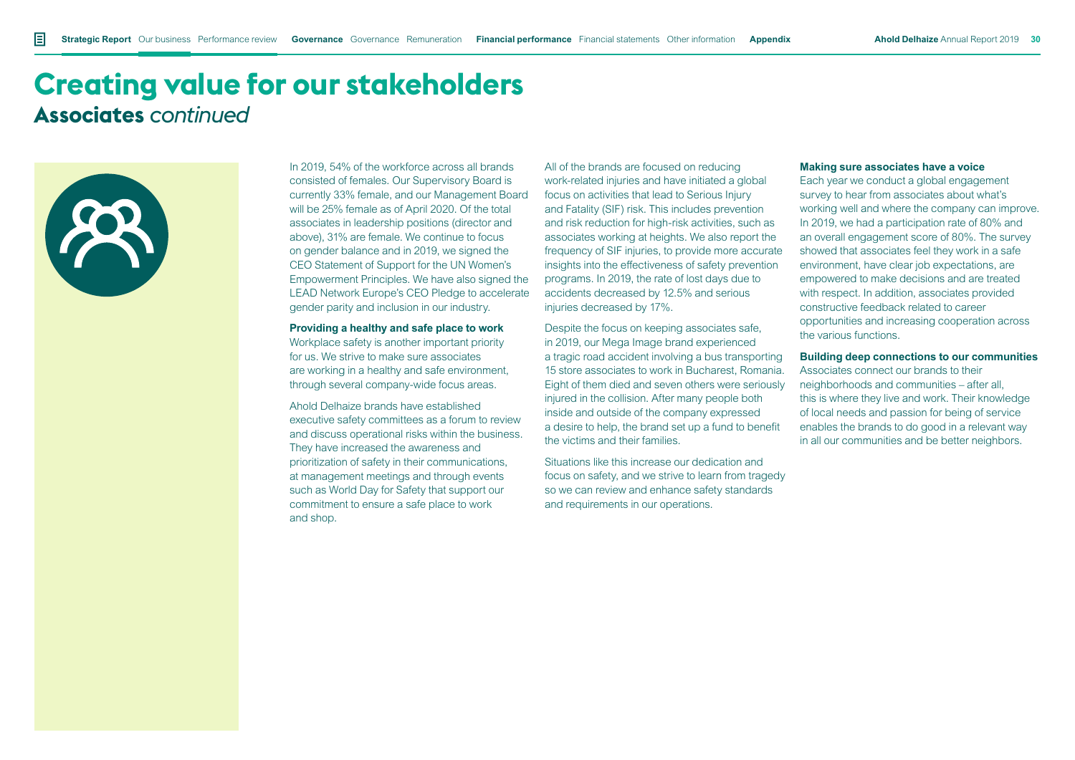### **Creating value for our stakeholders Associates** *continued*



In 2019, 54% of the workforce across all brands consisted of females. Our Supervisory Board is currently 33% female, and our Management Board will be 25% female as of April 2020. Of the total associates in leadership positions (director and above), 31% are female. We continue to focus on gender balance and in 2019, we signed the CEO Statement of Support for the UN Women's Empowerment Principles. We have also signed the LEAD Network Europe's CEO Pledge to accelerate gender parity and inclusion in our industry.

#### **Providing a healthy and safe place to work**

Workplace safety is another important priority for us. We strive to make sure associates are working in a healthy and safe environment, through several company-wide focus areas.

Ahold Delhaize brands have established executive safety committees as a forum to review and discuss operational risks within the business. They have increased the awareness and prioritization of safety in their communications, at management meetings and through events such as World Day for Safety that support our commitment to ensure a safe place to work and shop.

All of the brands are focused on reducing work-related injuries and have initiated a global focus on activities that lead to Serious Injury and Fatality (SIF) risk. This includes prevention and risk reduction for high-risk activities, such as associates working at heights. We also report the frequency of SIF injuries, to provide more accurate insights into the effectiveness of safety prevention programs. In 2019, the rate of lost days due to accidents decreased by 12.5% and serious injuries decreased by 17%.

Despite the focus on keeping associates safe, in 2019, our Mega Image brand experienced a tragic road accident involving a bus transporting 15 store associates to work in Bucharest, Romania. Eight of them died and seven others were seriously injured in the collision. After many people both inside and outside of the company expressed a desire to help, the brand set up a fund to benefit the victims and their families.

Situations like this increase our dedication and focus on safety, and we strive to learn from tragedy so we can review and enhance safety standards and requirements in our operations.

#### **Making sure associates have a voice**

Each year we conduct a global engagement survey to hear from associates about what's working well and where the company can improve. In 2019, we had a participation rate of 80% and an overall engagement score of 80%. The survey showed that associates feel they work in a safe environment, have clear job expectations, are empowered to make decisions and are treated with respect. In addition, associates provided constructive feedback related to career opportunities and increasing cooperation across the various functions.

#### **Building deep connections to our communities**

Associates connect our brands to their neighborhoods and communities – after all, this is where they live and work. Their knowledge of local needs and passion for being of service enables the brands to do good in a relevant way in all our communities and be better neighbors.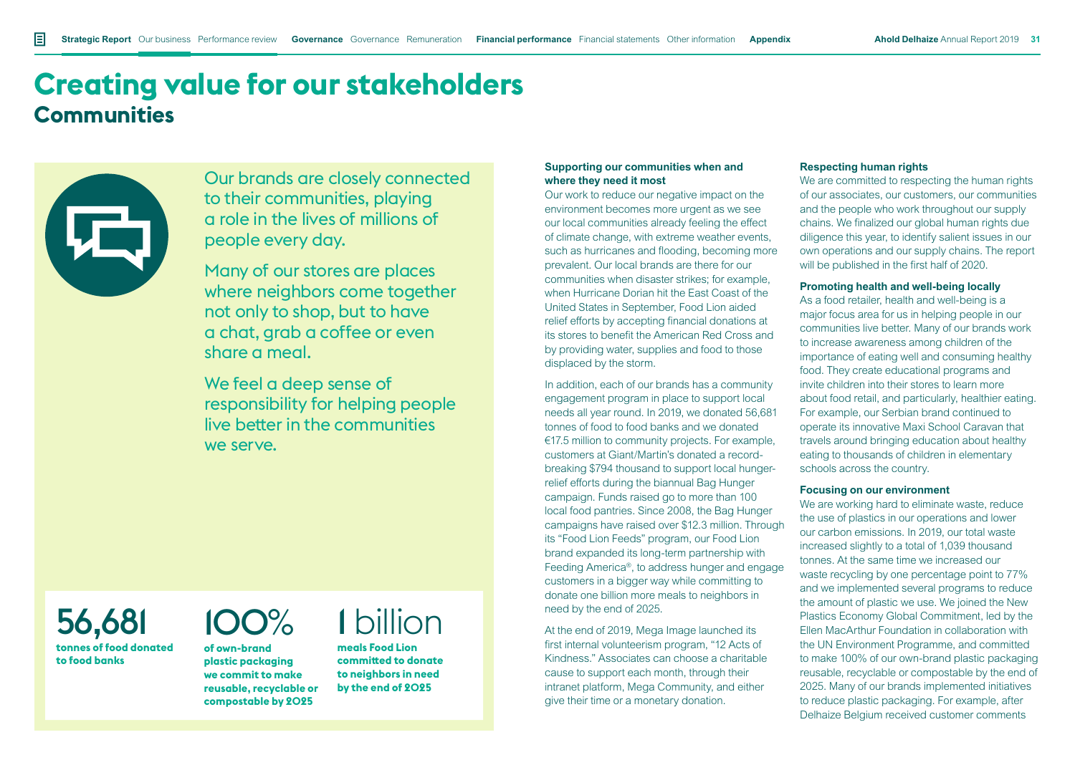## **Creating value for our stakeholders Communities**



Our brands are closely connected to their communities, playing a role in the lives of millions of people every day.

Many of our stores are places where neighbors come together not only to shop, but to have a chat, grab a coffee or even share a meal.

We feel a deep sense of responsibility for helping people live better in the communities we serve.

#### 56,681 **tonnes of food donated to food banks**

## 100%

**of own-brand plastic packaging we commit to make reusable, recyclable or compostable by 2025**

## 1 billion

**meals Food Lion committed to donate to neighbors in need by the end of 2025**

#### **Supporting our communities when and where they need it most**

Our work to reduce our negative impact on the environment becomes more urgent as we see our local communities already feeling the effect of climate change, with extreme weather events, such as hurricanes and flooding, becoming more prevalent. Our local brands are there for our communities when disaster strikes; for example, when Hurricane Dorian hit the East Coast of the United States in September, Food Lion aided relief efforts by accepting financial donations at its stores to benefit the American Red Cross and by providing water, supplies and food to those displaced by the storm.

In addition, each of our brands has a community engagement program in place to support local needs all year round. In 2019, we donated 56,681 tonnes of food to food banks and we donated €17.5 million to community projects. For example, customers at Giant/Martin's donated a recordbreaking \$794 thousand to support local hungerrelief efforts during the biannual Bag Hunger campaign. Funds raised go to more than 100 local food pantries. Since 2008, the Bag Hunger campaigns have raised over \$12.3 million. Through its "Food Lion Feeds" program, our Food Lion brand expanded its long-term partnership with Feeding America®, to address hunger and engage customers in a bigger way while committing to donate one billion more meals to neighbors in need by the end of 2025.

At the end of 2019, Mega Image launched its first internal volunteerism program, "12 Acts of Kindness." Associates can choose a charitable cause to support each month, through their intranet platform, Mega Community, and either give their time or a monetary donation.

#### **Respecting human rights**

We are committed to respecting the human rights of our associates, our customers, our communities and the people who work throughout our supply chains. We finalized our global human rights due diligence this year, to identify salient issues in our own operations and our supply chains. The report will be published in the first half of 2020.

#### **Promoting health and well-being locally**

As a food retailer, health and well-being is a major focus area for us in helping people in our communities live better. Many of our brands work to increase awareness among children of the importance of eating well and consuming healthy food. They create educational programs and invite children into their stores to learn more about food retail, and particularly, healthier eating. For example, our Serbian brand continued to operate its innovative Maxi School Caravan that travels around bringing education about healthy eating to thousands of children in elementary schools across the country.

#### **Focusing on our environment**

We are working hard to eliminate waste, reduce the use of plastics in our operations and lower our carbon emissions. In 2019, our total waste increased slightly to a total of 1,039 thousand tonnes. At the same time we increased our waste recycling by one percentage point to 77% and we implemented several programs to reduce the amount of plastic we use. We joined the New Plastics Economy Global Commitment, led by the Ellen MacArthur Foundation in collaboration with the UN Environment Programme, and committed to make 100% of our own-brand plastic packaging reusable, recyclable or compostable by the end of 2025. Many of our brands implemented initiatives to reduce plastic packaging. For example, after Delhaize Belgium received customer comments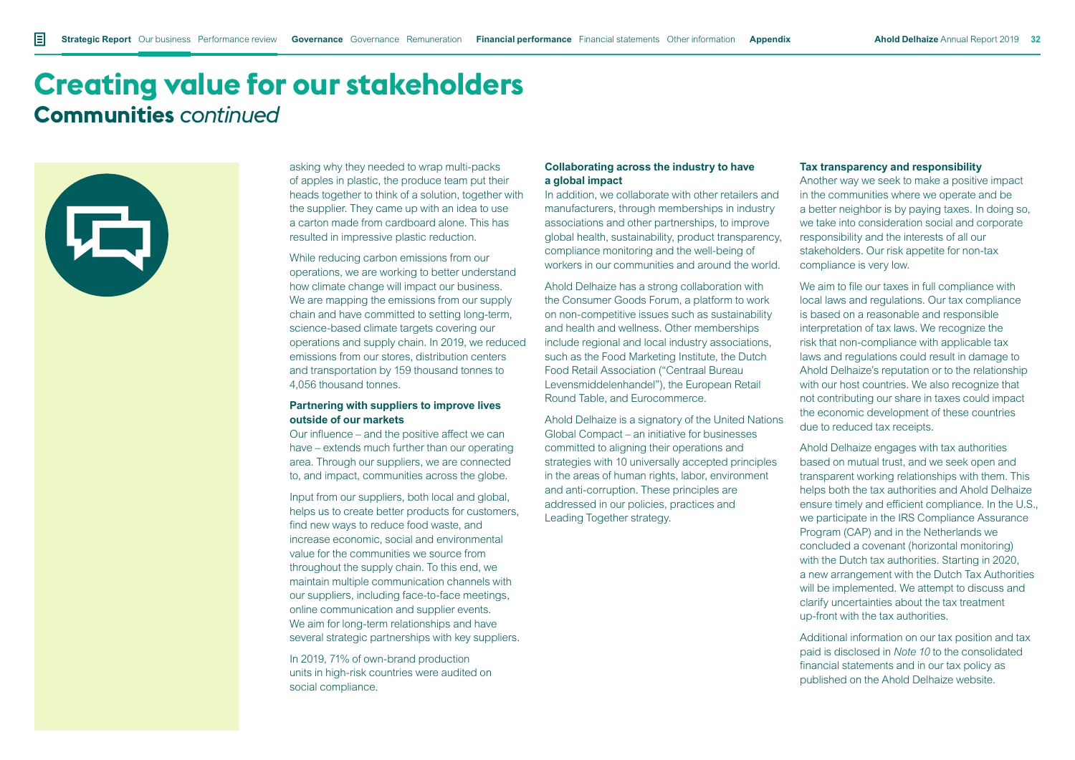### **Creating value for our stakeholders Communities** *continued*

asking why they needed to wrap multi-packs of apples in plastic, the produce team put their heads together to think of a solution, together with the supplier. They came up with an idea to use a carton made from cardboard alone. This has resulted in impressive plastic reduction.

While reducing carbon emissions from our operations, we are working to better understand how climate change will impact our business. We are mapping the emissions from our supply chain and have committed to setting long-term, science-based climate targets covering our operations and supply chain. In 2019, we reduced emissions from our stores, distribution centers and transportation by 159 thousand tonnes to 4,056 thousand tonnes.

#### **Partnering with suppliers to improve lives outside of our markets**

Our influence – and the positive affect we can have – extends much further than our operating area. Through our suppliers, we are connected to, and impact, communities across the globe.

Input from our suppliers, both local and global, helps us to create better products for customers. find new ways to reduce food waste, and increase economic, social and environmental value for the communities we source from throughout the supply chain. To this end, we maintain multiple communication channels with our suppliers, including face-to-face meetings, online communication and supplier events. We aim for long-term relationships and have several strategic partnerships with key suppliers.

In 2019, 71% of own-brand production units in high-risk countries were audited on social compliance.

#### **Collaborating across the industry to have a global impact**

In addition, we collaborate with other retailers and manufacturers, through memberships in industry associations and other partnerships, to improve global health, sustainability, product transparency, compliance monitoring and the well-being of workers in our communities and around the world.

Ahold Delhaize has a strong collaboration with the Consumer Goods Forum, a platform to work on non-competitive issues such as sustainability and health and wellness. Other memberships include regional and local industry associations, such as the Food Marketing Institute, the Dutch Food Retail Association ("Centraal Bureau Levensmiddelenhandel"), the European Retail Round Table, and Eurocommerce.

Ahold Delhaize is a signatory of the United Nations Global Compact – an initiative for businesses committed to aligning their operations and strategies with 10 universally accepted principles in the areas of human rights, labor, environment and anti-corruption. These principles are addressed in our policies, practices and Leading Together strategy.

#### **Tax transparency and responsibility**

Another way we seek to make a positive impact in the communities where we operate and be a better neighbor is by paying taxes. In doing so, we take into consideration social and corporate responsibility and the interests of all our stakeholders. Our risk appetite for non-tax compliance is very low.

We aim to file our taxes in full compliance with local laws and regulations. Our tax compliance is based on a reasonable and responsible interpretation of tax laws. We recognize the risk that non-compliance with applicable tax laws and regulations could result in damage to Ahold Delhaize's reputation or to the relationship with our host countries. We also recognize that not contributing our share in taxes could impact the economic development of these countries due to reduced tax receipts.

Ahold Delhaize engages with tax authorities based on mutual trust, and we seek open and transparent working relationships with them. This helps both the tax authorities and Ahold Delhaize ensure timely and efficient compliance. In the U.S., we participate in the IRS Compliance Assurance Program (CAP) and in the Netherlands we concluded a covenant (horizontal monitoring) with the Dutch tax authorities. Starting in 2020, a new arrangement with the Dutch Tax Authorities will be implemented. We attempt to discuss and clarify uncertainties about the tax treatment up-front with the tax authorities.

Additional information on our tax position and tax paid is disclosed in *Note 10* to the consolidated financial statements and in our tax policy as published on the Ahold Delhaize website.